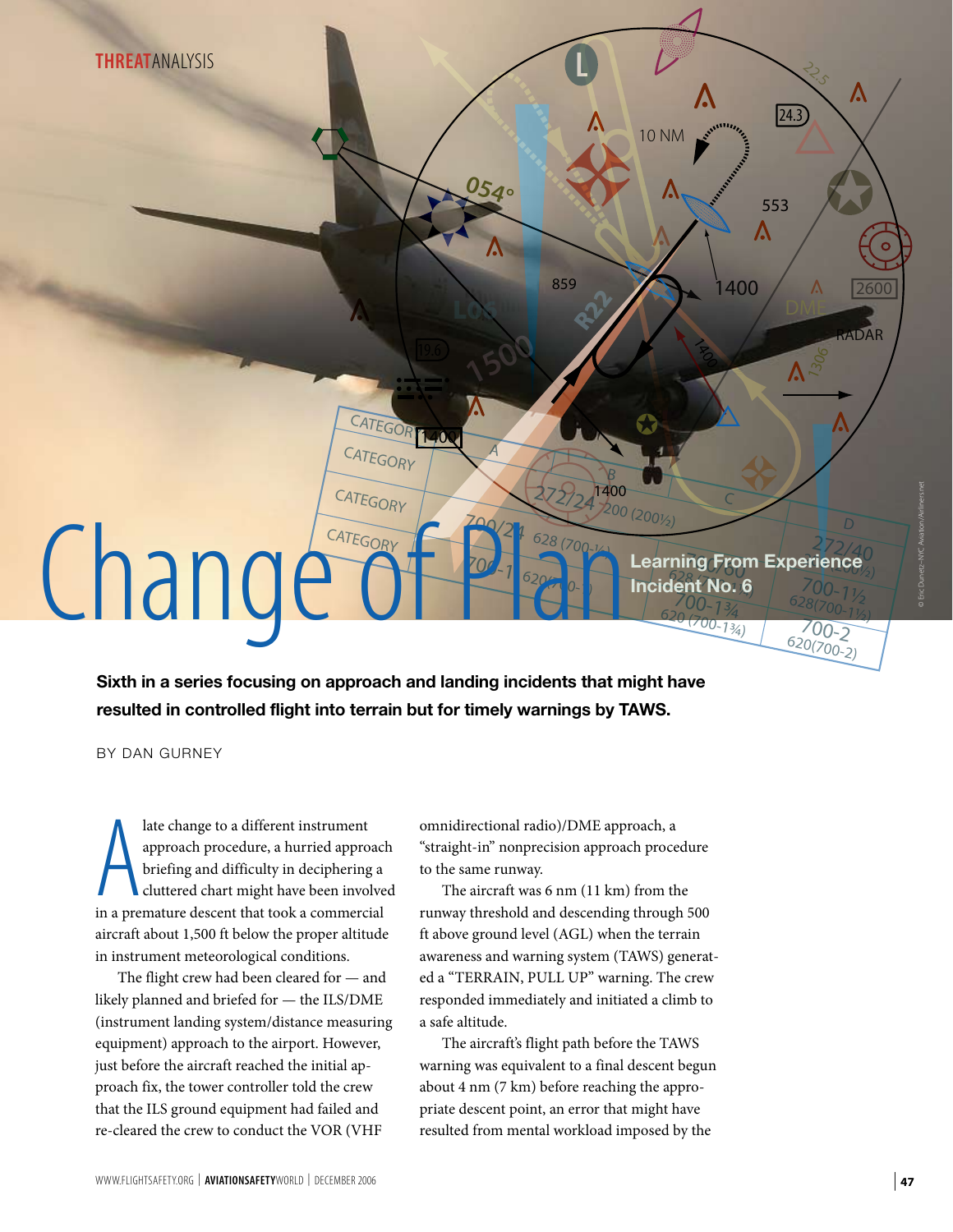

**Sixth in a series focusing on approach and landing incidents that might have resulted in controlled flight into terrain but for timely warnings by TAWS.**

BY DAN GURNEY

a late change to a different instrument<br>approach procedure, a hurried approach<br>briefing and difficulty in deciphering a<br>cluttered chart might have been involve<br>in a premature descent that took a commercial late change to a different instrument approach procedure, a hurried approach briefing and difficulty in deciphering a cluttered chart might have been involved aircraft about 1,500 ft below the proper altitude in instrument meteorological conditions.

The flight crew had been cleared for — and likely planned and briefed for — the ILS/DME (instrument landing system/distance measuring equipment) approach to the airport. However, just before the aircraft reached the initial approach fix, the tower controller told the crew that the ILS ground equipment had failed and re-cleared the crew to conduct the VOR (VHF

omnidirectional radio)/DME approach, a "straight-in" nonprecision approach procedure to the same runway.

The aircraft was 6 nm (11 km) from the runway threshold and descending through 500 ft above ground level (AGL) when the terrain awareness and warning system (TAWS) generated a "TERRAIN, PULL UP" warning. The crew responded immediately and initiated a climb to a safe altitude.

The aircraft's flight path before the TAWS warning was equivalent to a final descent begun about 4 nm (7 km) before reaching the appropriate descent point, an error that might have resulted from mental workload imposed by the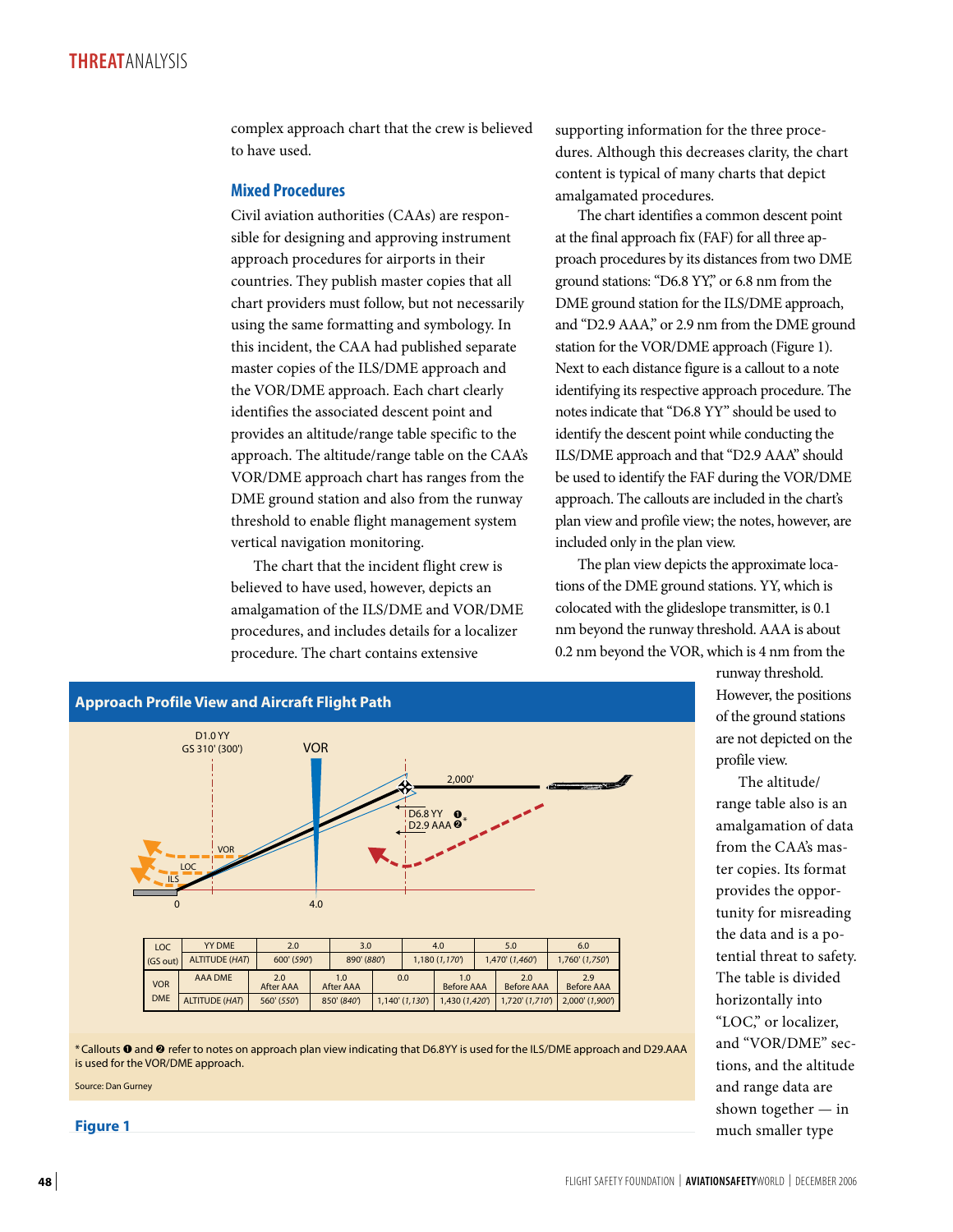complex approach chart that the crew is believed to have used.

## **Mixed Procedures**

Civil aviation authorities (CAAs) are responsible for designing and approving instrument approach procedures for airports in their countries. They publish master copies that all chart providers must follow, but not necessarily using the same formatting and symbology. In this incident, the CAA had published separate master copies of the ILS/DME approach and the VOR/DME approach. Each chart clearly identifies the associated descent point and provides an altitude/range table specific to the approach. The altitude/range table on the CAA's VOR/DME approach chart has ranges from the DME ground station and also from the runway threshold to enable flight management system vertical navigation monitoring.

The chart that the incident flight crew is believed to have used, however, depicts an amalgamation of the ILS/DME and VOR/DME procedures, and includes details for a localizer procedure. The chart contains extensive

supporting information for the three procedures. Although this decreases clarity, the chart content is typical of many charts that depict amalgamated procedures.

The chart identifies a common descent point at the final approach fix (FAF) for all three approach procedures by its distances from two DME ground stations: "D6.8 YY," or 6.8 nm from the DME ground station for the ILS/DME approach, and "D2.9 AAA," or 2.9 nm from the DME ground station for the VOR/DME approach (Figure 1). Next to each distance figure is a callout to a note identifying its respective approach procedure. The notes indicate that "D6.8 YY" should be used to identify the descent point while conducting the ILS/DME approach and that "D2.9 AAA" should be used to identify the FAF during the VOR/DME approach. The callouts are included in the chart's plan view and profile view; the notes, however, are included only in the plan view.

The plan view depicts the approximate locations of the DME ground stations. YY, which is colocated with the glideslope transmitter, is 0.1 nm beyond the runway threshold. AAA is about 0.2 nm beyond the VOR, which is 4 nm from the



\* Callouts ➊ and ➋ refer to notes on approach plan view indicating that D6.8YY is used for the ILS/DME approach and D29.AAA is used for the VOR/DME approach.

Source: Dan Gurney

**Figure 1**

runway threshold. However, the positions of the ground stations are not depicted on the profile view.

The altitude/ range table also is an amalgamation of data from the CAA's master copies. Its format provides the opportunity for misreading the data and is a potential threat to safety. The table is divided horizontally into "LOC," or localizer, and "VOR/DME" sections, and the altitude and range data are shown together — in much smaller type